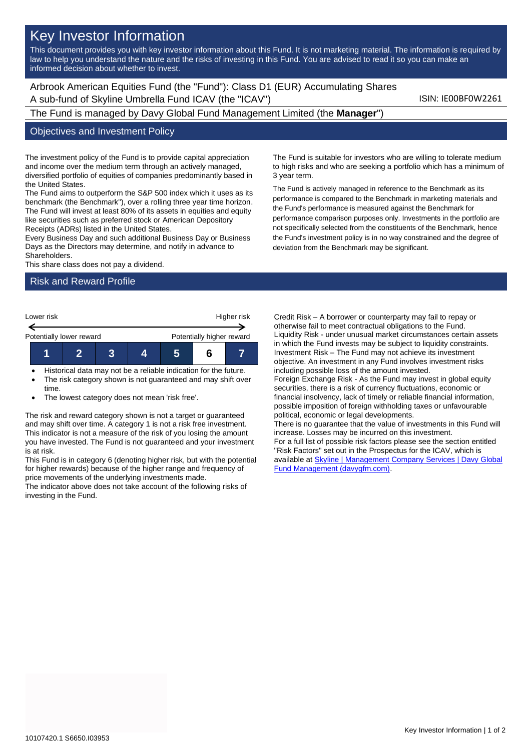# Key Investor Information

This document provides you with key investor information about this Fund. It is not marketing material. The information is required by law to help you understand the nature and the risks of investing in this Fund. You are advised to read it so you can make an informed decision about whether to invest.

Arbrook American Equities Fund (the "Fund"): Class D1 (EUR) Accumulating Shares A sub-fund of Skyline Umbrella Fund ICAV (the "ICAV") Sub-fund iSIN: IE00BF0W2261

The Fund is managed by Davy Global Fund Management Limited (the **Manager**")

#### Objectives and Investment Policy

The investment policy of the Fund is to provide capital appreciation and income over the medium term through an actively managed, diversified portfolio of equities of companies predominantly based in the United States.

The Fund aims to outperform the S&P 500 index which it uses as its benchmark (the Benchmark"), over a rolling three year time horizon. The Fund will invest at least 80% of its assets in equities and equity like securities such as preferred stock or American Depository Receipts (ADRs) listed in the United States.

Every Business Day and such additional Business Day or Business Days as the Directors may determine, and notify in advance to Shareholders.

This share class does not pay a dividend.

### Risk and Reward Profile



- Historical data may not be a reliable indication for the future.
- The risk category shown is not guaranteed and may shift over time.
- The lowest category does not mean 'risk free'.

The risk and reward category shown is not a target or guaranteed and may shift over time. A category 1 is not a risk free investment. This indicator is not a measure of the risk of you losing the amount you have invested. The Fund is not guaranteed and your investment is at risk.

This Fund is in category 6 (denoting higher risk, but with the potential for higher rewards) because of the higher range and frequency of price movements of the underlying investments made.

The indicator above does not take account of the following risks of investing in the Fund.

The Fund is suitable for investors who are willing to tolerate medium to high risks and who are seeking a portfolio which has a minimum of 3 year term.

The Fund is actively managed in reference to the Benchmark as its performance is compared to the Benchmark in marketing materials and the Fund's performance is measured against the Benchmark for performance comparison purposes only. Investments in the portfolio are not specifically selected from the constituents of the Benchmark, hence the Fund's investment policy is in no way constrained and the degree of deviation from the Benchmark may be significant.

Credit Risk – A borrower or counterparty may fail to repay or otherwise fail to meet contractual obligations to the Fund. Liquidity Risk - under unusual market circumstances certain assets in which the Fund invests may be subject to liquidity constraints. Investment Risk – The Fund may not achieve its investment objective. An investment in any Fund involves investment risks including possible loss of the amount invested. Foreign Exchange Risk - As the Fund may invest in global equity securities, there is a risk of currency fluctuations, economic or financial insolvency, lack of timely or reliable financial information, possible imposition of foreign withholding taxes or unfavourable political, economic or legal developments. There is no guarantee that the value of investments in this Fund will increase. Losses may be incurred on this investment. For a full list of possible risk factors please see the section entitled "Risk Factors" set out in the Prospectus for the ICAV, which is available a[t Skyline | Management Company Services | Davy Global](https://www.davygfm.com/funds-factsheets/management-company-services/ireland/skyline.html) 

[Fund Management \(davygfm.com\).](https://www.davygfm.com/funds-factsheets/management-company-services/ireland/skyline.html)